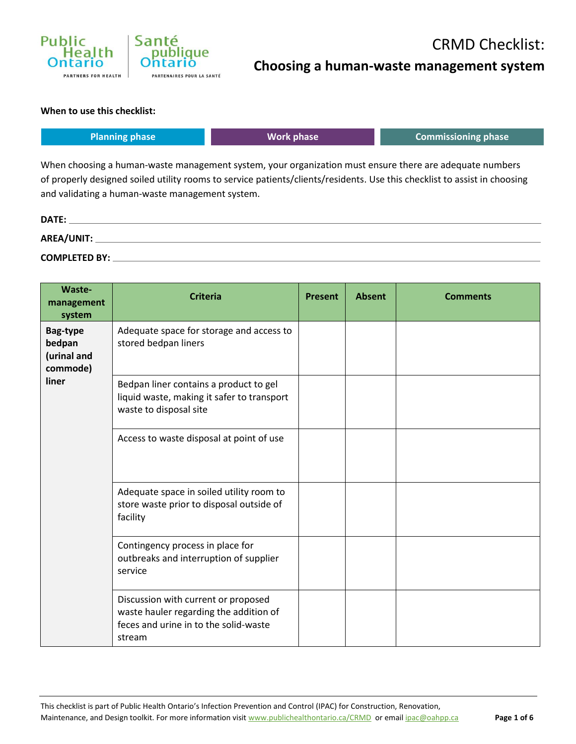

## CRMD Checklist: **Choosing a human-waste management system**

#### **When to use this checklist:**

|              | <b>Planning phase</b>                                                                                                                                                                                                                                                                   | <b>Work phase</b> | <b>Commissioning phase</b> |  |  |  |  |  |
|--------------|-----------------------------------------------------------------------------------------------------------------------------------------------------------------------------------------------------------------------------------------------------------------------------------------|-------------------|----------------------------|--|--|--|--|--|
|              | When choosing a human-waste management system, your organization must ensure there are adequate numbers<br>of properly designed soiled utility rooms to service patients/clients/residents. Use this checklist to assist in choosing<br>and validating a human-waste management system. |                   |                            |  |  |  |  |  |
| <b>DATE:</b> |                                                                                                                                                                                                                                                                                         |                   |                            |  |  |  |  |  |

**AREA/UNIT: COMPLETED BY:**

| Waste-<br>management<br>system                | <b>Criteria</b>                                                                                                                  | <b>Present</b> | <b>Absent</b> | <b>Comments</b> |
|-----------------------------------------------|----------------------------------------------------------------------------------------------------------------------------------|----------------|---------------|-----------------|
| Bag-type<br>bedpan<br>(urinal and<br>commode) | Adequate space for storage and access to<br>stored bedpan liners                                                                 |                |               |                 |
| liner                                         | Bedpan liner contains a product to gel<br>liquid waste, making it safer to transport<br>waste to disposal site                   |                |               |                 |
|                                               | Access to waste disposal at point of use                                                                                         |                |               |                 |
|                                               | Adequate space in soiled utility room to<br>store waste prior to disposal outside of<br>facility                                 |                |               |                 |
|                                               | Contingency process in place for<br>outbreaks and interruption of supplier<br>service                                            |                |               |                 |
|                                               | Discussion with current or proposed<br>waste hauler regarding the addition of<br>feces and urine in to the solid-waste<br>stream |                |               |                 |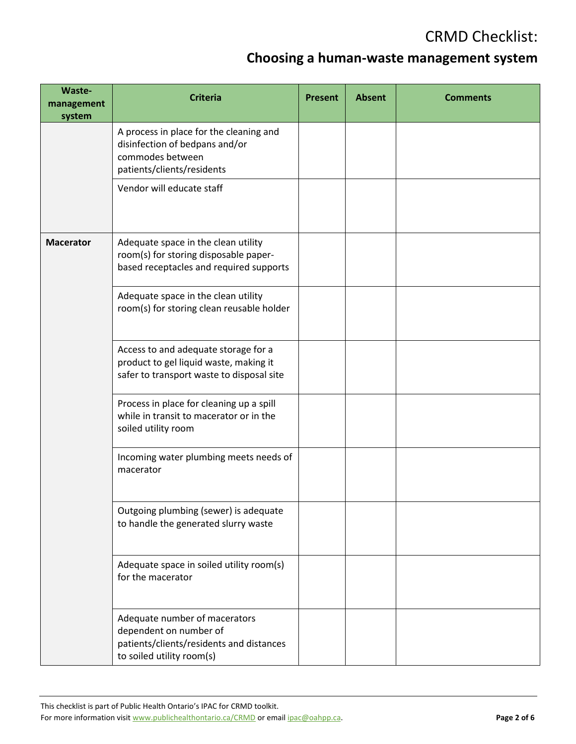### **Choosing a human-waste management system**

| Waste-<br>management<br>system | <b>Criteria</b>                                                                                                                  | <b>Present</b> | <b>Absent</b> | <b>Comments</b> |
|--------------------------------|----------------------------------------------------------------------------------------------------------------------------------|----------------|---------------|-----------------|
|                                | A process in place for the cleaning and<br>disinfection of bedpans and/or<br>commodes between<br>patients/clients/residents      |                |               |                 |
|                                | Vendor will educate staff                                                                                                        |                |               |                 |
| <b>Macerator</b>               | Adequate space in the clean utility<br>room(s) for storing disposable paper-<br>based receptacles and required supports          |                |               |                 |
|                                | Adequate space in the clean utility<br>room(s) for storing clean reusable holder                                                 |                |               |                 |
|                                | Access to and adequate storage for a<br>product to gel liquid waste, making it<br>safer to transport waste to disposal site      |                |               |                 |
|                                | Process in place for cleaning up a spill<br>while in transit to macerator or in the<br>soiled utility room                       |                |               |                 |
|                                | Incoming water plumbing meets needs of<br>macerator                                                                              |                |               |                 |
|                                | Outgoing plumbing (sewer) is adequate<br>to handle the generated slurry waste                                                    |                |               |                 |
|                                | Adequate space in soiled utility room(s)<br>for the macerator                                                                    |                |               |                 |
|                                | Adequate number of macerators<br>dependent on number of<br>patients/clients/residents and distances<br>to soiled utility room(s) |                |               |                 |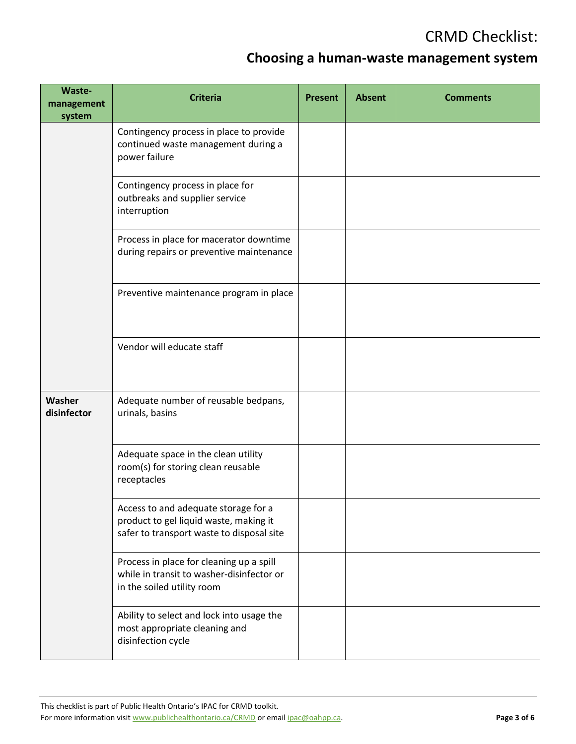### **Choosing a human-waste management system**

| Waste-<br>management<br>system | <b>Criteria</b>                                                                                                             | <b>Present</b> | <b>Absent</b> | <b>Comments</b> |
|--------------------------------|-----------------------------------------------------------------------------------------------------------------------------|----------------|---------------|-----------------|
|                                | Contingency process in place to provide<br>continued waste management during a<br>power failure                             |                |               |                 |
|                                | Contingency process in place for<br>outbreaks and supplier service<br>interruption                                          |                |               |                 |
|                                | Process in place for macerator downtime<br>during repairs or preventive maintenance                                         |                |               |                 |
|                                | Preventive maintenance program in place                                                                                     |                |               |                 |
|                                | Vendor will educate staff                                                                                                   |                |               |                 |
| Washer<br>disinfector          | Adequate number of reusable bedpans,<br>urinals, basins                                                                     |                |               |                 |
|                                | Adequate space in the clean utility<br>room(s) for storing clean reusable<br>receptacles                                    |                |               |                 |
|                                | Access to and adequate storage for a<br>product to gel liquid waste, making it<br>safer to transport waste to disposal site |                |               |                 |
|                                | Process in place for cleaning up a spill<br>while in transit to washer-disinfector or<br>in the soiled utility room         |                |               |                 |
|                                | Ability to select and lock into usage the<br>most appropriate cleaning and<br>disinfection cycle                            |                |               |                 |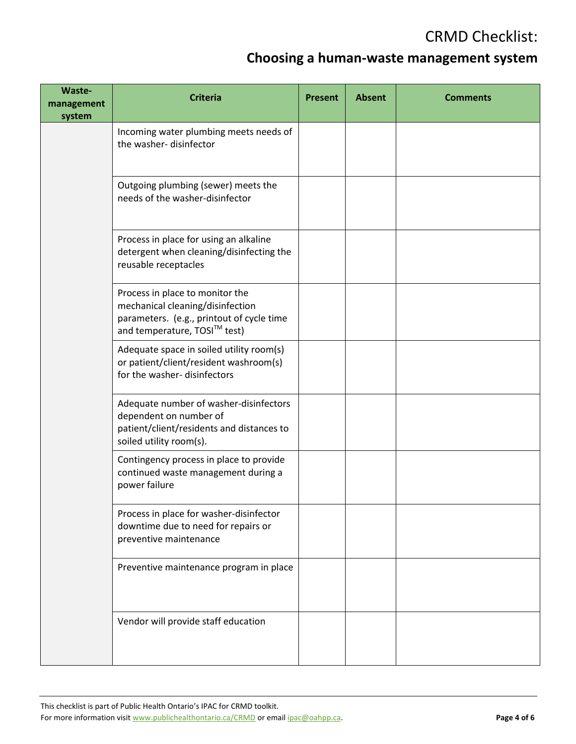### **Choosing a human-waste management system**

| Waste-<br>management<br>system | <b>Criteria</b>                                                                                                                                  | <b>Present</b> | <b>Absent</b> | <b>Comments</b> |
|--------------------------------|--------------------------------------------------------------------------------------------------------------------------------------------------|----------------|---------------|-----------------|
|                                | Incoming water plumbing meets needs of<br>the washer-disinfector                                                                                 |                |               |                 |
|                                | Outgoing plumbing (sewer) meets the<br>needs of the washer-disinfector                                                                           |                |               |                 |
|                                | Process in place for using an alkaline<br>detergent when cleaning/disinfecting the<br>reusable receptacles                                       |                |               |                 |
|                                | Process in place to monitor the<br>mechanical cleaning/disinfection<br>parameters. (e.g., printout of cycle time<br>and temperature, TOSI™ test) |                |               |                 |
|                                | Adequate space in soiled utility room(s)<br>or patient/client/resident washroom(s)<br>for the washer- disinfectors                               |                |               |                 |
|                                | Adequate number of washer-disinfectors<br>dependent on number of<br>patient/client/residents and distances to<br>soiled utility room(s).         |                |               |                 |
|                                | Contingency process in place to provide<br>continued waste management during a<br>power failure                                                  |                |               |                 |
|                                | Process in place for washer-disinfector<br>downtime due to need for repairs or<br>preventive maintenance                                         |                |               |                 |
|                                | Preventive maintenance program in place                                                                                                          |                |               |                 |
|                                | Vendor will provide staff education                                                                                                              |                |               |                 |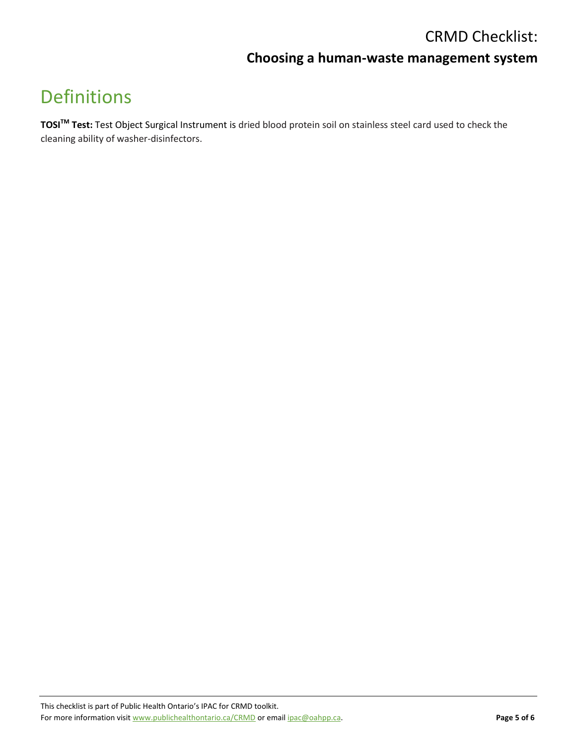#### **Choosing a human-waste management system**

# Definitions

**TOSITM Test:** Test Object Surgical Instrument is dried blood protein soil on stainless steel card used to check the cleaning ability of washer-disinfectors.